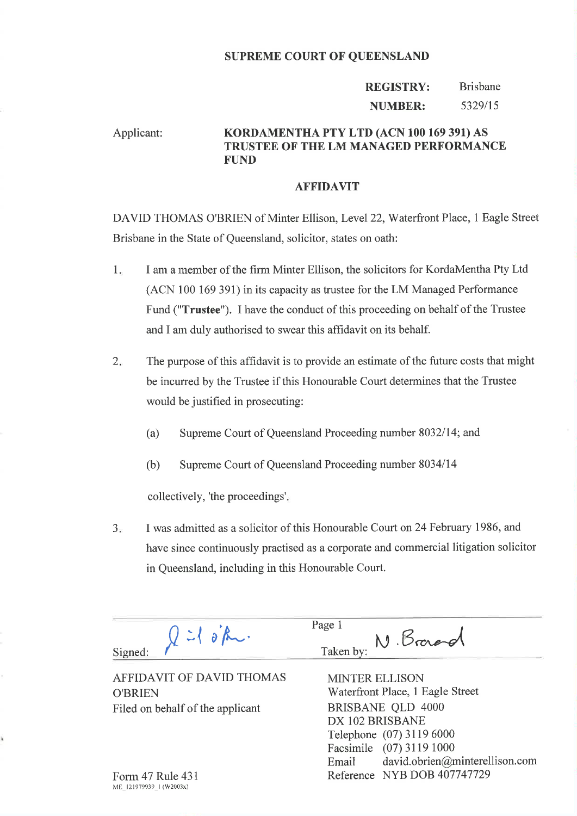## SUPREME COURT OF QUEENSLAND

#### REGISTRY: NUMBER: Brisbane 5329/15

# Applicant: KORDAMENTHA PTY LTD (ACN 100 169 391) AS TRUSTEE OF THE LM MANAGED PERFORMANCE FUND

### AFFIDAVIT

DAVID THOMAS O'BRIEN of Minter Ellison, Level 22, Waterfront Place, 1 Eagle Street Brisbane in the State of Queensland, solicitor, states on oath:

- 1 I am a member of the firm Minter Ellison, the solicitors for KordaMentha Pty Ltd (ACN 100 169 391) in its capacity as trustee for the LM Managed Performance Fund ("Trustee"). I have the conduct of this proceeding on behalf of the Trustee and I am duly authorised to swear this affrdavit on its behalf.
- $2.5$ The purpose of this affrdavit is to provide an estimate of the future costs that might be incurred by the Trustee if this Honourable Court determines that the Trustee would be justified in prosecuting:
	- (a) Supreme Court of Queensland Proceeding number 8032114; and
	- (b) Supreme Court of Queensland Proceeding number <sup>8034114</sup>

collectively,'the proceedings'

J I was admitted as a solicitor of this Honourable Court on24 February 1986, and have since continuously practised as a corporate and commercial litigation solicitor in Queensland, including in this Honourable Court.

Taken by:

Signed:  $\bigcap_{\text{Signed:}}$   $\bigcap_{\text{R}}$  if  $\bigcap_{\text{Rken by:}}$  N. Bronard

AFFIDAVIT OF DAVID THOMAS O'BRIEN Filed on behalf of the applicant

MINTER ELLISON IVaterfront Place, I Eagle Street BRISBANE QLD 4000 DX IO2 BRISBANE Telephone (07) 3119 6000 Facsimile (07) 3119 1000 Email david.obrien@minterellison.com Reference NYB DOB 407747729

Form 47 Rule 431 ME\_121979939\_I (W2003x)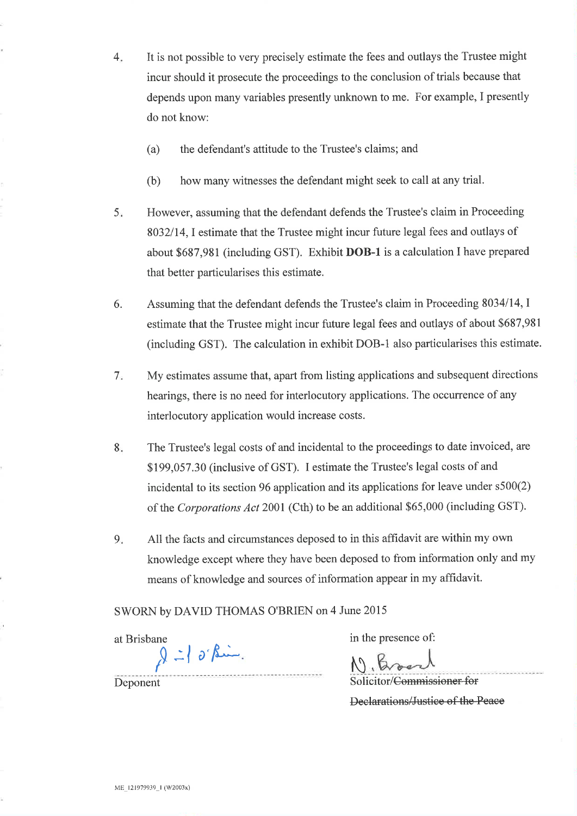- 4 It is not possible to very precisely estimate the fees and outlays the Trustee might incur should it prosecute the proceedings to the conclusion of trials because that depends upon many variables presently unknown to me. For example, I presently do not know:
	- (a) the defendant's attitude to the Trustee's claims; and
	- (b) how many witnesses the defendant might seek to call at any trial.
- However, assuming that the defendant defends the Trustee's claim in Proceeding 8032114,I estimate that the Trustee might incur future legal fees and outlays of about \$687,981 (including GST). Exhibit DOB-I is a calculation I have prepared that better particularises this estimate. 5
- Assuming that the defendant defends the Trustee's claim in Proceeding 8034/14, I estimate that the Trustee might incur future legal fees and outlays of about \$687,981 (including GST). The calculation in exhibit DOB-1 also particularises this estimate. 6.
- My estimates assume that, apart from listing applications and subsequent directions hearings, there is no need for interlocutory applications. The occurrence of any interlocutory application would increase costs. 7
- The Trustee's legal costs of and incidental to the proceedings to date invoiced, are \$199,057.30 (inclusive of GST). I estimate the Trustee's legal costs of and incidental to its section 96 application and its applications for leave under s500(2) of the Corporations Act 2001 (Cth) to be an additional \$65,000 (including GST). 8
- All the facts and circumstances deposed to in this affrdavit are within my own knowledge except where they have been deposed to from information only and my means of knowledge and sources of information appear in my affidavit. 9.

SWORN by DAVID THOMAS O'BRIEN on 4 June 2015

 $\beta = \int \partial f \hat{g}$ 

at Brisbane in the presence of:

l\) Deponent Solicitor/Commissioner for

Declarations/Justice of the Peace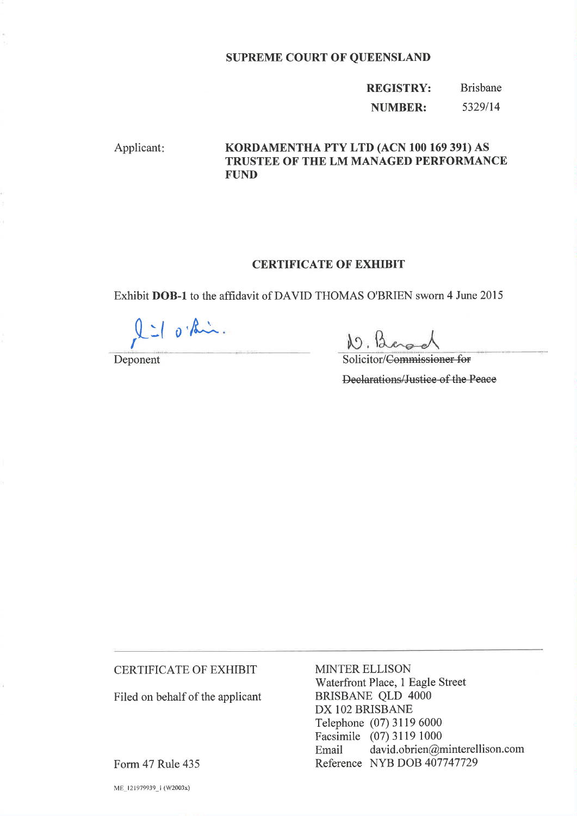### **SUPREME COURT OF QUEENSLAND**

#### **REGISTRY: Brisbane** 5329/14 **NUMBER:**

Applicant:

# KORDAMENTHA PTY LTD (ACN 100 169 391) AS TRUSTEE OF THE LM MANAGED PERFORMANCE **FUND**

# **CERTIFICATE OF EXHIBIT**

Exhibit DOB-1 to the affidavit of DAVID THOMAS O'BRIEN sworn 4 June 2015

 $10$  bishing

Deponent

W. Besod

Solicitor/Commissioner for

Declarations/Justice of the Peace

# **CERTIFICATE OF EXHIBIT**

Filed on behalf of the applicant

**MINTER ELLISON** Waterfront Place, 1 Eagle Street **BRISBANE QLD 4000** DX 102 BRISBANE Telephone (07) 3119 6000 Facsimile (07) 3119 1000 Email david.obrien@minterellison.com Reference NYB DOB 407747729

Form 47 Rule 435

ME\_121979939\_I (W2003x)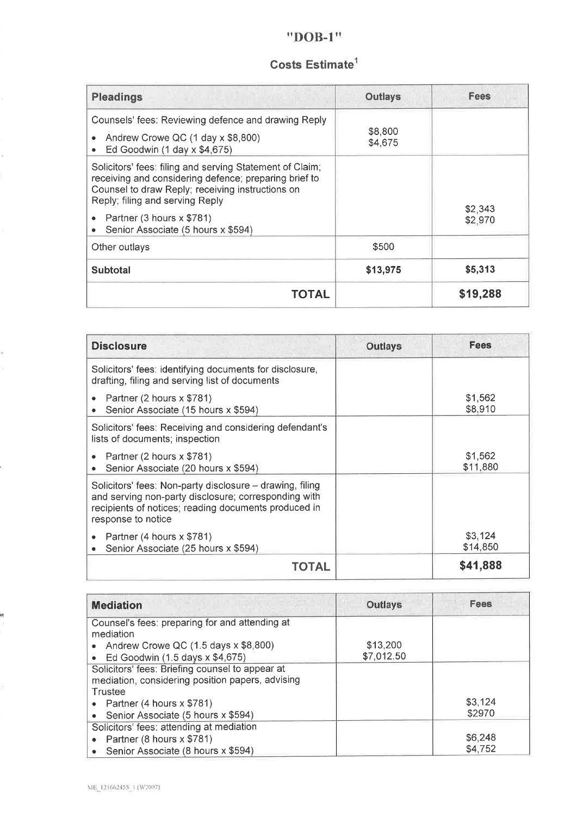# $"DOB-1"$

# Costs Estimate<sup>1</sup>

| <b>A GUILDIAN THEM</b> W<br><b>Pleadings</b>                                                                                                                                                             | <b>Outlays</b>     | <b>Fees</b>        |
|----------------------------------------------------------------------------------------------------------------------------------------------------------------------------------------------------------|--------------------|--------------------|
| Counsels' fees: Reviewing defence and drawing Reply                                                                                                                                                      |                    |                    |
| Andrew Crowe QC (1 day x \$8,800)<br>Ed Goodwin (1 day x \$4,675)                                                                                                                                        | \$8,800<br>\$4,675 |                    |
| Solicitors' fees: filing and serving Statement of Claim;<br>receiving and considering defence; preparing brief to<br>Counsel to draw Reply; receiving instructions on<br>Reply; filing and serving Reply |                    |                    |
| Partner (3 hours x \$781)<br>Senior Associate (5 hours x \$594)                                                                                                                                          |                    | \$2,343<br>\$2,970 |
| Other outlays                                                                                                                                                                                            | \$500              |                    |
| Subtotal                                                                                                                                                                                                 | \$13,975           | \$5,313            |
| TOTAL                                                                                                                                                                                                    |                    | \$19,288           |

| <b>Disclosure</b>                                                                                                                                                                              | Outlays | <b>Fees</b>         |
|------------------------------------------------------------------------------------------------------------------------------------------------------------------------------------------------|---------|---------------------|
| Solicitors' fees: identifying documents for disclosure,<br>drafting, filing and serving list of documents                                                                                      |         |                     |
| Partner (2 hours x \$781)<br>Senior Associate (15 hours x \$594)                                                                                                                               |         | \$1,562<br>\$8,910  |
| Solicitors' fees: Receiving and considering defendant's<br>lists of documents; inspection                                                                                                      |         |                     |
| Partner $(2 \text{ hours} \times $781)$<br>Senior Associate (20 hours x \$594)                                                                                                                 |         | \$1,562<br>\$11,880 |
| Solicitors' fees: Non-party disclosure – drawing, filing<br>and serving non-party disclosure; corresponding with<br>recipients of notices; reading documents produced in<br>response to notice |         |                     |
| Partner (4 hours x \$781)<br>Senior Associate (25 hours x \$594)                                                                                                                               |         | \$3,124<br>\$14,850 |
| TOTAL                                                                                                                                                                                          |         | \$41,888            |

| <b>Mediation</b>                                            | Outlays    | <b>Fees</b> |
|-------------------------------------------------------------|------------|-------------|
| Counsel's fees: preparing for and attending at<br>mediation |            |             |
| • Andrew Crowe QC $(1.5 \text{ days} \times $8,800)$        | \$13,200   |             |
| Ed Goodwin (1.5 days x \$4,675)                             | \$7,012.50 |             |
| Solicitors' fees: Briefing counsel to appear at             |            |             |
| mediation, considering position papers, advising            |            |             |
| Trustee                                                     |            |             |
| • Partner $(4 \text{ hours} \times $781)$                   |            | \$3,124     |
| • Senior Associate (5 hours x \$594)                        |            | \$2970      |
| Solicitors' fees: attending at mediation                    |            |             |
| Partner (8 hours x \$781)                                   |            | \$6,248     |
| Senior Associate (8 hours x \$594)                          |            | \$4,752     |

rl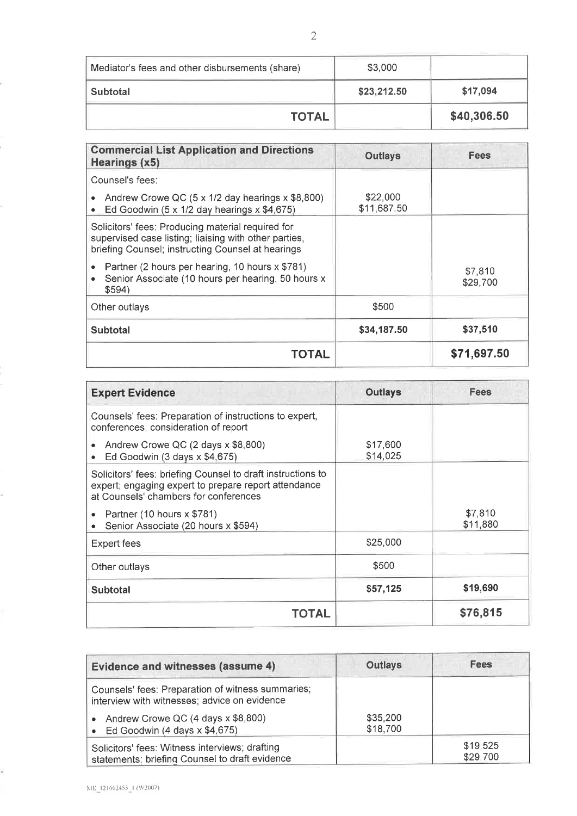| Mediator's fees and other disbursements (share) | \$3,000     |             |
|-------------------------------------------------|-------------|-------------|
| Subtotal                                        | \$23,212.50 | \$17,094    |
| <b>TOTAL</b>                                    |             | \$40,306.50 |

| <b>Commercial List Application and Directions</b><br>Hearings (x5)                                                                                              | <b>Outlays</b>          | <b>Fees</b>         |
|-----------------------------------------------------------------------------------------------------------------------------------------------------------------|-------------------------|---------------------|
| Counsel's fees:                                                                                                                                                 |                         |                     |
| Andrew Crowe QC (5 x 1/2 day hearings x \$8,800)<br>Ed Goodwin $(5 \times 1/2)$ day hearings $\times$ \$4,675)<br>$\bullet$                                     | \$22,000<br>\$11,687.50 |                     |
| Solicitors' fees: Producing material required for<br>supervised case listing; liaising with other parties,<br>briefing Counsel; instructing Counsel at hearings |                         |                     |
| Partner (2 hours per hearing, 10 hours x \$781)<br>Senior Associate (10 hours per hearing, 50 hours x<br>\$594                                                  |                         | \$7,810<br>\$29,700 |
| Other outlays                                                                                                                                                   | \$500                   |                     |
| Subtotal                                                                                                                                                        | \$34,187.50             | \$37,510            |
| TOTAL                                                                                                                                                           |                         | \$71,697.50         |

| <b>Expert Evidence</b>                                                                                                                                       | <b>Outlays</b>       | <b>Fees</b>         |
|--------------------------------------------------------------------------------------------------------------------------------------------------------------|----------------------|---------------------|
| Counsels' fees: Preparation of instructions to expert,<br>conferences, consideration of report                                                               |                      |                     |
| Andrew Crowe QC (2 days x \$8,800)<br>Ed Goodwin $(3 \text{ days} \times $4,675)$                                                                            | \$17,600<br>\$14,025 |                     |
| Solicitors' fees: briefing Counsel to draft instructions to<br>expert; engaging expert to prepare report attendance<br>at Counsels' chambers for conferences |                      |                     |
| Partner (10 hours x \$781)<br>Senior Associate (20 hours x \$594)                                                                                            |                      | \$7,810<br>\$11,880 |
| <b>Expert fees</b>                                                                                                                                           | \$25,000             |                     |
| Other outlays                                                                                                                                                | \$500                |                     |
| <b>Subtotal</b>                                                                                                                                              | \$57,125             | \$19,690            |
| TOTAL                                                                                                                                                        |                      | \$76,815            |

| Evidence and witnesses (assume 4)                                                                    | <b>Outlays</b>       | <b>Fees</b>          |
|------------------------------------------------------------------------------------------------------|----------------------|----------------------|
| Counsels' fees: Preparation of witness summaries;<br>interview with witnesses; advice on evidence    |                      |                      |
| Andrew Crowe QC (4 days x \$8,800)<br>$\bullet$<br>• Ed Goodwin $(4 \text{ days } x \text{ $4,675})$ | \$35,200<br>\$18,700 |                      |
| Solicitors' fees: Witness interviews; drafting<br>statements; briefing Counsel to draft evidence     |                      | \$19,525<br>\$29,700 |

Ç